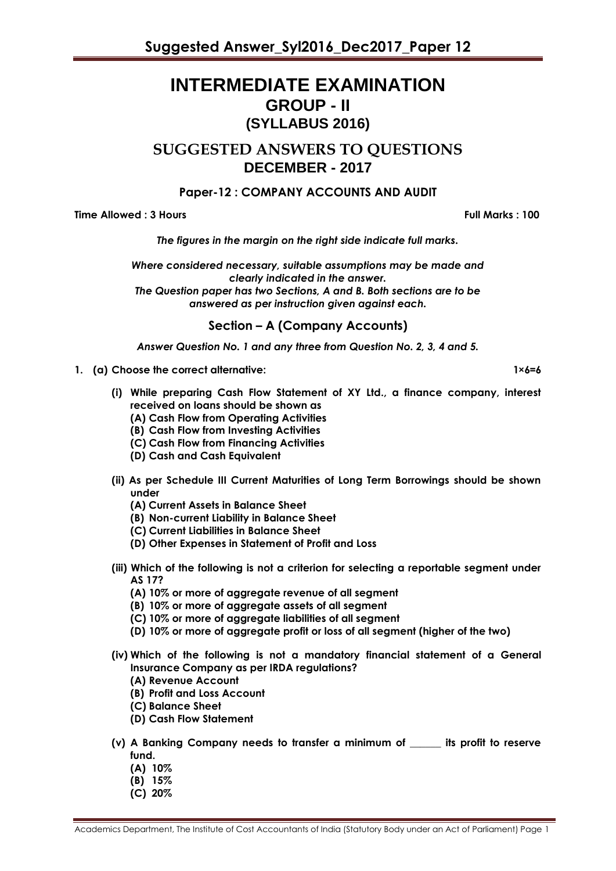# **INTERMEDIATE EXAMINATION GROUP - II (SYLLABUS 2016)**

# **SUGGESTED ANSWERS TO QUESTIONS DECEMBER - 2017**

# **Paper-12 : COMPANY ACCOUNTS AND AUDIT**

**Time Allowed : 3 Hours Full Marks : 100**

*The figures in the margin on the right side indicate full marks.*

*Where considered necessary, suitable assumptions may be made and clearly indicated in the answer. The Question paper has two Sections, A and B. Both sections are to be answered as per instruction given against each.*

# **Section – A (Company Accounts)**

*Answer Question No. 1 and any three from Question No. 2, 3, 4 and 5.*

- **1. (a) Choose the correct alternative: 1×6=6**
	- **(i) While preparing Cash Flow Statement of XY Ltd., a finance company, interest received on loans should be shown as**
		- **(A) Cash Flow from Operating Activities**
		- **(B) Cash Flow from Investing Activities**
		- **(C) Cash Flow from Financing Activities**
		- **(D) Cash and Cash Equivalent**
	- **(ii) As per Schedule III Current Maturities of Long Term Borrowings should be shown under**
		- **(A) Current Assets in Balance Sheet**
		- **(B) Non-current Liability in Balance Sheet**
		- **(C) Current Liabilities in Balance Sheet**
		- **(D) Other Expenses in Statement of Profit and Loss**
	- **(iii) Which of the following is not a criterion for selecting a reportable segment under AS 17?**
		- **(A) 10% or more of aggregate revenue of all segment**
		- **(B) 10% or more of aggregate assets of all segment**
		- **(C) 10% or more of aggregate liabilities of all segment**
		- **(D) 10% or more of aggregate profit or loss of all segment (higher of the two)**
	- **(iv) Which of the following is not a mandatory financial statement of a General Insurance Company as per IRDA regulations?**
		- **(A) Revenue Account**
		- **(B) Profit and Loss Account**
		- **(C) Balance Sheet**
		- **(D) Cash Flow Statement**
	- **(v) A Banking Company needs to transfer a minimum of \_\_\_\_\_\_ its profit to reserve fund.**
		- **(A) 10%**
		- **(B) 15%**
		- **(C) 20%**

Academics Department, The Institute of Cost Accountants of India (Statutory Body under an Act of Parliament) Page 1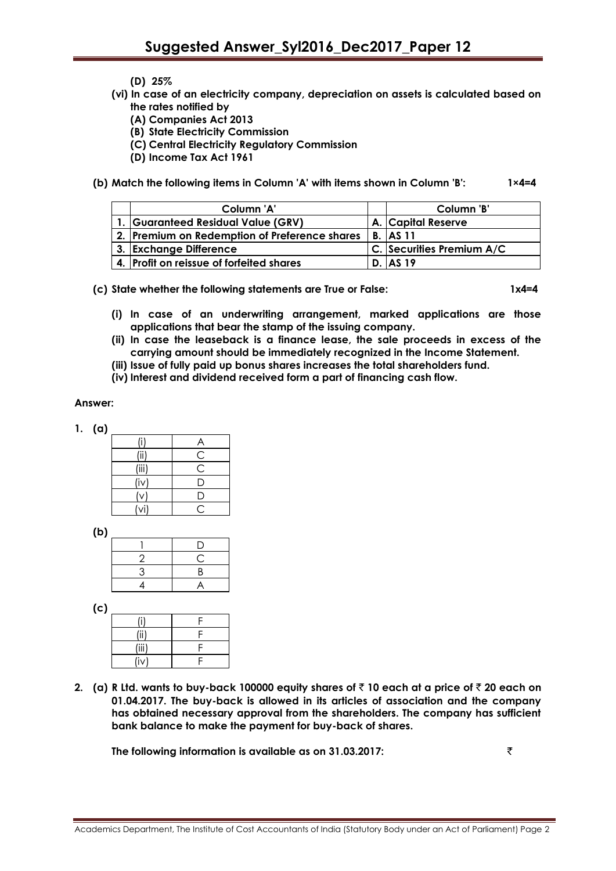- **(D) 25%**
- **(vi) In case of an electricity company, depreciation on assets is calculated based on the rates notified by**
	- **(A) Companies Act 2013**
	- **(B) State Electricity Commission**
	- **(C) Central Electricity Regulatory Commission**
	- **(D) Income Tax Act 1961**

## **(b) Match the following items in Column 'A' with items shown in Column 'B': 1×4=4**

| Column 'A'                                    | Column 'B'                |
|-----------------------------------------------|---------------------------|
| 1. Guaranteed Residual Value (GRV)            | A. Capital Reserve        |
| 2. Premium on Redemption of Preference shares | <b>B.</b> AS 11           |
| 3. Exchange Difference                        | C. Securities Premium A/C |
| 4. Profit on reissue of forfeited shares      | D. AS 19                  |

**(c) State whether the following statements are True or False: 1x4=4**

- **(i) In case of an underwriting arrangement, marked applications are those applications that bear the stamp of the issuing company.**
- **(ii) In case the leaseback is a finance lease, the sale proceeds in excess of the carrying amount should be immediately recognized in the Income Statement.**
- **(iii) Issue of fully paid up bonus shares increases the total shareholders fund.**
- **(iv) Interest and dividend received form a part of financing cash flow.**

#### **Answer:**

| 1. | (a) |        |   |
|----|-----|--------|---|
|    |     |        |   |
|    |     | Ϊi     | С |
|    |     | (iii)  | C |
|    |     | (iv    |   |
|    |     | $\vee$ |   |
|    |     | انردا  |   |

**(b)**

|   | l.                   |
|---|----------------------|
| 2 | $\ddot{\phantom{0}}$ |
| G | R                    |
|   |                      |

| (c) |       |  |
|-----|-------|--|
|     |       |  |
|     | Ϊİ    |  |
|     | (iii) |  |
|     | (iv)  |  |

**2. (a) R Ltd. wants to buy-back 100000 equity shares of** ` **10 each at a price of** ` **20 each on 01.04.2017. The buy-back is allowed in its articles of association and the company has obtained necessary approval from the shareholders. The company has sufficient bank balance to make the payment for buy-back of shares.**

**The following information is available as on 31.03.2017:** `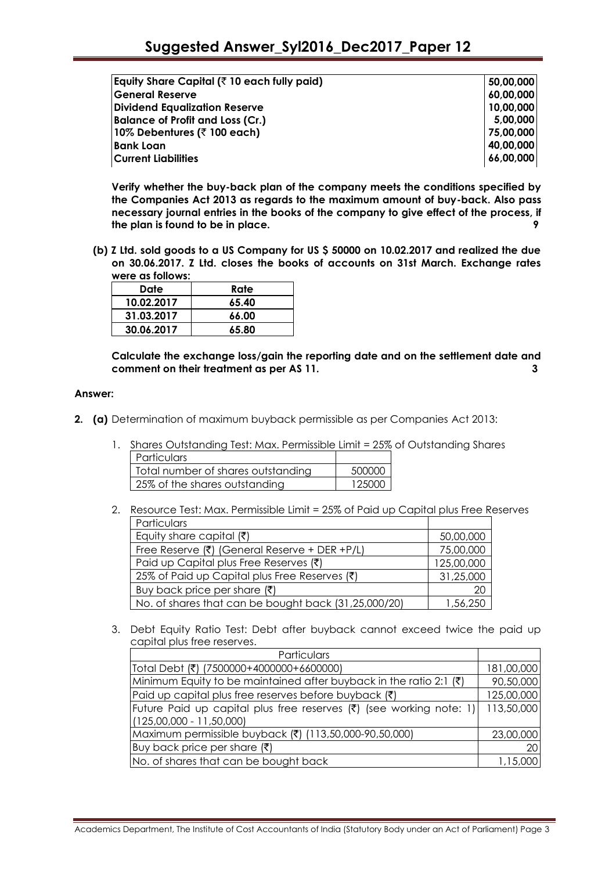| Equity Share Capital ( $\bar{\tau}$ 10 each fully paid) | 50,00,000 |
|---------------------------------------------------------|-----------|
| General Reserve                                         | 60,00,000 |
| Dividend Equalization Reserve                           | 10,00,000 |
| <b>Balance of Profit and Loss (Cr.)</b>                 | 5,00,000  |
| 10% Debentures (₹ 100 each)                             | 75,00,000 |
| Bank Loan                                               | 40,00,000 |
| <b>Current Liabilities</b>                              | 66,00,000 |

**Verify whether the buy-back plan of the company meets the conditions specified by the Companies Act 2013 as regards to the maximum amount of buy-back. Also pass necessary journal entries in the books of the company to give effect of the process, if the plan is found to be in place. 9**

**(b) Z Ltd. sold goods to a US Company for US \$ 50000 on 10.02.2017 and realized the due on 30.06.2017. Z Ltd. closes the books of accounts on 31st March. Exchange rates were as follows:**

| Date       | Rate  |
|------------|-------|
| 10.02.2017 | 65.40 |
| 31.03.2017 | 66.00 |
| 30.06.2017 | 65.80 |

**Calculate the exchange loss/gain the reporting date and on the settlement date and comment on their treatment as per AS 11. 3**

## **Answer:**

- **2. (a)** Determination of maximum buyback permissible as per Companies Act 2013:
	- 1. Shares Outstanding Test: Max. Permissible Limit = 25% of Outstanding Shares

| <b>Particulars</b>                 |        |
|------------------------------------|--------|
| Total number of shares outstanding | 500000 |
| 25% of the shares outstanding      | 125000 |

2. Resource Test: Max. Permissible Limit = 25% of Paid up Capital plus Free Reserves

| Particulars                                          |            |
|------------------------------------------------------|------------|
| Equity share capital $(\bar{\zeta})$                 | 50,00,000  |
| Free Reserve (₹) (General Reserve + DER +P/L)        | 75,00,000  |
| Paid up Capital plus Free Reserves (₹)               | 125,00,000 |
| 25% of Paid up Capital plus Free Reserves (₹)        | 31,25,000  |
| Buy back price per share $(\bar{\zeta})$             | 20         |
| No. of shares that can be bought back (31,25,000/20) | 1,56,250   |

3. Debt Equity Ratio Test: Debt after buyback cannot exceed twice the paid up capital plus free reserves.

| Particulars                                                                     |            |
|---------------------------------------------------------------------------------|------------|
| Total Debt (₹) (7500000+4000000+6600000)                                        | 181,00,000 |
| Minimum Equity to be maintained after buyback in the ratio 2:1 ( $\bar{\tau}$ ) | 90,50,000  |
| Paid up capital plus free reserves before buyback (₹)                           | 125,00,000 |
| Future Paid up capital plus free reserves (₹) (see working note: 1)             |            |
| $(125,00,000 - 11,50,000)$                                                      |            |
| Maximum permissible buyback (₹) (113,50,000-90,50,000)                          | 23,00,000  |
| Buy back price per share $(\bar{\zeta})$                                        | 20         |
| No. of shares that can be bought back                                           | 1,15,000   |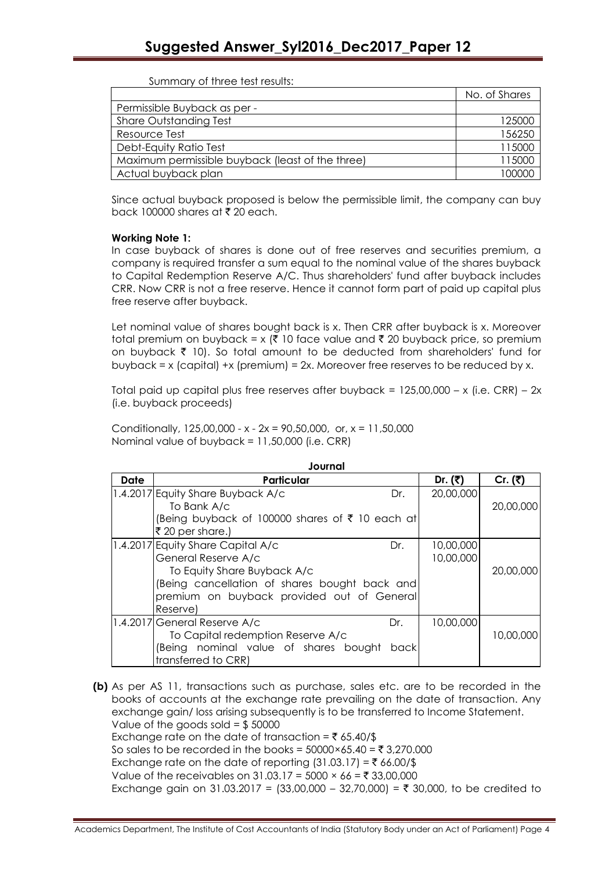|                                                  | No. of Shares |
|--------------------------------------------------|---------------|
| Permissible Buyback as per -                     |               |
| <b>Share Outstanding Test</b>                    | 125000        |
| Resource Test                                    | 156250        |
| Debt-Equity Ratio Test                           | 115000        |
| Maximum permissible buyback (least of the three) | 115000        |
| Actual buyback plan                              | 00000         |

Summary of three test results:

Since actual buyback proposed is below the permissible limit, the company can buy back 100000 shares at  $\bar{\tau}$  20 each.

## **Working Note 1:**

In case buyback of shares is done out of free reserves and securities premium, a company is required transfer a sum equal to the nominal value of the shares buyback to Capital Redemption Reserve A/C. Thus shareholders' fund after buyback includes CRR. Now CRR is not a free reserve. Hence it cannot form part of paid up capital plus free reserve after buyback.

Let nominal value of shares bought back is x. Then CRR after buyback is x. Moreover total premium on buyback = x ( $\bar{x}$  10 face value and  $\bar{x}$  20 buyback price, so premium on buyback  $\bar{\tau}$  10). So total amount to be deducted from shareholders' fund for buyback = x (capital) +x (premium) =  $2x$ . Moreover free reserves to be reduced by x.

Total paid up capital plus free reserves after buyback =  $125,00,000 - x$  (i.e. CRR) - 2x (i.e. buyback proceeds)

**Journal**

Conditionally, 125,00,000 - x - 2x = 90,50,000, or, x = 11,50,000 Nominal value of buyback = 11,50,000 (i.e. CRR)

| Journal |                                                                                                                                                                                                    |             |                        |           |  |
|---------|----------------------------------------------------------------------------------------------------------------------------------------------------------------------------------------------------|-------------|------------------------|-----------|--|
| Date    | Particular                                                                                                                                                                                         |             | Dr. $(3)$              | Cr. (₹)   |  |
|         | 1.4.2017 Equity Share Buyback A/c<br>To Bank A/c<br>(Being buyback of 100000 shares of ₹ 10 each at                                                                                                | Dr.         | 20,00,000              | 20,00,000 |  |
|         | ₹ 20 per share.)                                                                                                                                                                                   |             |                        |           |  |
|         | 1.4.2017 Equity Share Capital A/c<br>General Reserve A/c<br>To Equity Share Buyback A/c<br>(Being cancellation of shares bought back and<br>premium on buyback provided out of General<br>Reserve) | Dr.         | 10,00,000<br>10,00,000 | 20,00,000 |  |
|         | 1.4.2017 General Reserve A/c<br>To Capital redemption Reserve A/c<br>(Being nominal value of shares bought<br>transferred to CRR)                                                                  | Dr.<br>back | 10,00,000              | 10,00,000 |  |

**(b)** As per AS 11, transactions such as purchase, sales etc. are to be recorded in the books of accounts at the exchange rate prevailing on the date of transaction. Any exchange gain/ loss arising subsequently is to be transferred to Income Statement. Value of the goods sold = \$ 50000 Exchange rate on the date of transaction =  $\overline{5}$  65.40/\$ So sales to be recorded in the books =  $50000 \times 65.40 = ₹ 3,270.000$ Exchange rate on the date of reporting  $(31.03.17) = ₹ 66.00$ /\$ Value of the receivables on 31.03.17 =  $5000 \times 66 = ₹ 33,00,000$ Exchange gain on 31.03.2017 =  $(33,00,000 - 32,70,000) =$  ₹ 30,000, to be credited to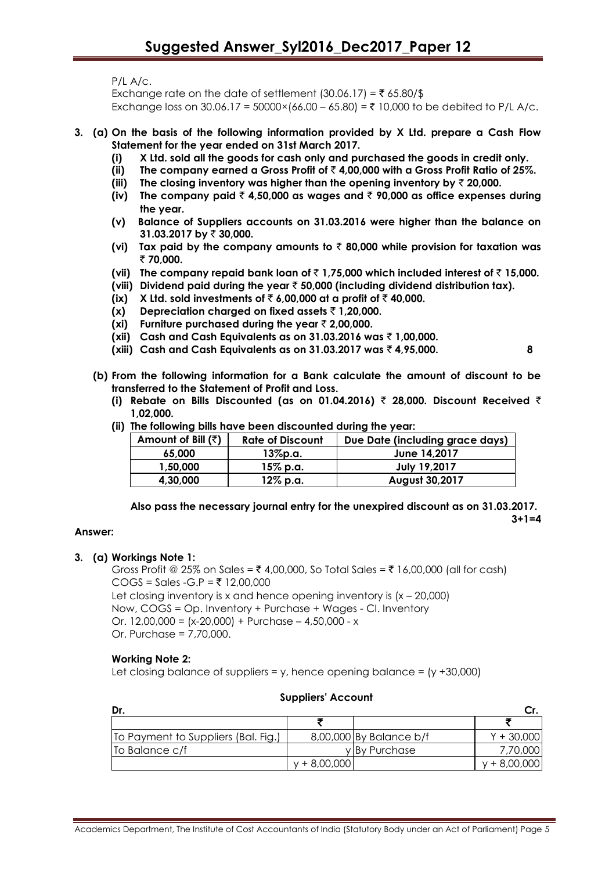P/L A/c.

Exchange rate on the date of settlement  $(30.06.17) =$  ₹ 65.80/\$ Exchange loss on 30.06.17 = 50000×(66.00 - 65.80) = ₹ 10,000 to be debited to P/L A/c.

- **3. (a) On the basis of the following information provided by X Ltd. prepare a Cash Flow Statement for the year ended on 31st March 2017.**
	- **(i) X Ltd. sold all the goods for cash only and purchased the goods in credit only.**
	- **(ii) The company earned a Gross Profit of** ` **4,00,000 with a Gross Profit Ratio of 25%.**
	- (iii) The closing inventory was higher than the opening inventory by  $\bar{\tau}$  20,000.
	- **(iv) The company paid** ` **4,50,000 as wages and** ` **90,000 as office expenses during the year.**
	- **(v) Balance of Suppliers accounts on 31.03.2016 were higher than the balance on 31.03.2017 by ₹ 30,000.**
	- **(vi) Tax paid by the company amounts to** ` **80,000 while provision for taxation was**  ` **70,000.**
	- **(vii)** The company repaid bank loan of  $\bar{\tau}$  1,75,000 which included interest of  $\bar{\tau}$  15,000.
	- **(viii) Dividend paid during the year** ` **50,000 (including dividend distribution tax).**
	- (ix)  $X$  Ltd. sold investments of  $\overline{\zeta}$  6,00,000 at a profit of  $\overline{\zeta}$  40,000.
	- **(x) Depreciation charged on fixed assets** ` **1,20,000.**
	- **(xi) Furniture purchased during the year** ` **2,00,000.**
	- **(xii) Cash and Cash Equivalents as on 31.03.2016 was** ` **1,00,000.**
	- **(xiii) Cash and Cash Equivalents as on 31.03.2017 was** ` **4,95,000. 8**

- **(b) From the following information for a Bank calculate the amount of discount to be transferred to the Statement of Profit and Loss.**
	- **(i) Rebate on Bills Discounted (as on 01.04.2016)** ` **28,000. Discount Received** ` **1,02,000.**

| Amount of Bill $(\bar{z})$ | <b>Rate of Discount</b> | Due Date (including grace days) |
|----------------------------|-------------------------|---------------------------------|
| 65,000                     | 13%p.a.                 | June 14,2017                    |
| 1,50,000                   | 15% p.a.                | July 19,2017                    |
| 4,30,000                   | 12% p.a.                | August 30,2017                  |

# **(ii) The following bills have been discounted during the year:**

**Also pass the necessary journal entry for the unexpired discount as on 31.03.2017. 3+1=4**

## **Answer:**

## **3. (a) Workings Note 1:**

Gross Profit @ 25% on Sales =  $\overline{\tau}$  4,00,000, So Total Sales =  $\overline{\tau}$  16,00,000 (all for cash)  $COGS = Sales - G.P = ₹ 12,00,000$ Let closing inventory is x and hence opening inventory is  $(x - 20,000)$ Now, COGS = Op. Inventory + Purchase + Wages - CI. Inventory Or. 12,00,000 =  $(x-20,000) +$  Purchase – 4,50,000 - x Or. Purchase = 7,70,000.

#### **Working Note 2:**

Let closing balance of suppliers = y, hence opening balance =  $(y + 30,000)$ 

| Dr.                                 |                |                         |                |
|-------------------------------------|----------------|-------------------------|----------------|
|                                     |                |                         |                |
| To Payment to Suppliers (Bal. Fig.) |                | 8,00,000 By Balance b/f | $Y + 30,000$   |
| To Balance c/f                      |                | y By Purchase           | 7,70,000       |
|                                     | $y + 8,00,000$ |                         | $y + 8,00,000$ |

#### **Suppliers' Account**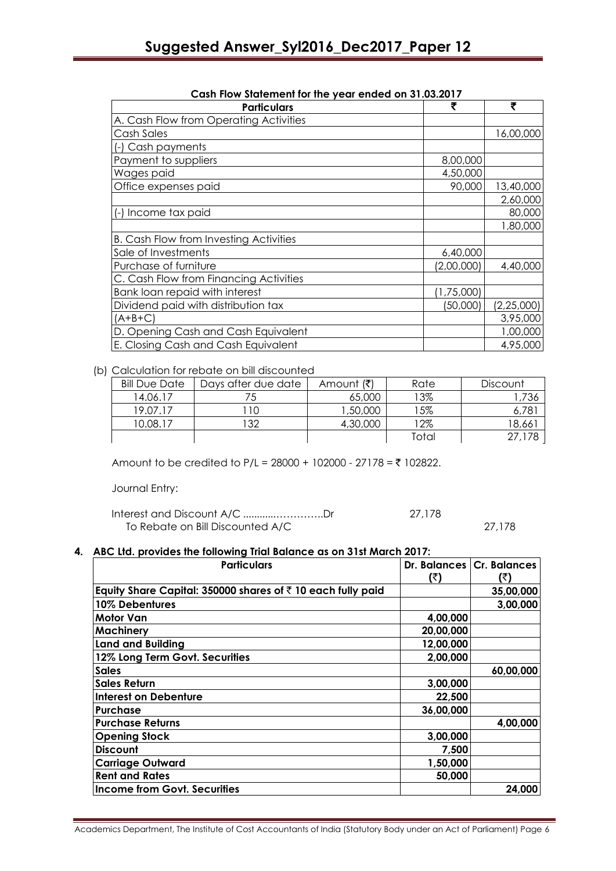| Cash How Signeriterii for the year enged on ST.00.2017<br>₹ |            |              |  |  |
|-------------------------------------------------------------|------------|--------------|--|--|
| <b>Particulars</b>                                          |            |              |  |  |
| A. Cash Flow from Operating Activities                      |            |              |  |  |
| Cash Sales                                                  |            | 16,00,000    |  |  |
| Cash payments                                               |            |              |  |  |
| Payment to suppliers                                        | 8,00,000   |              |  |  |
| Wages paid                                                  | 4,50,000   |              |  |  |
| Office expenses paid                                        | 90,000     | 13,40,000    |  |  |
|                                                             |            | 2,60,000     |  |  |
| Income tax paid<br>$(-)$                                    |            | 80,000       |  |  |
|                                                             |            | 1,80,000     |  |  |
| <b>B. Cash Flow from Investing Activities</b>               |            |              |  |  |
| Sale of Investments                                         | 6,40,000   |              |  |  |
| Purchase of furniture                                       | (2,00,000) | 4,40,000     |  |  |
| C. Cash Flow from Financing Activities                      |            |              |  |  |
| Bank loan repaid with interest                              | (1,75,000) |              |  |  |
| Dividend paid with distribution tax                         | (50,000)   | (2, 25, 000) |  |  |
| $(A+B+C)$                                                   |            | 3,95,000     |  |  |
| D. Opening Cash and Cash Equivalent                         |            | 1,00,000     |  |  |
| E. Closing Cash and Cash Equivalent                         |            | 4,95,000     |  |  |

# **Cash Flow Statement for the year ended on 31.03.2017**

## (b) Calculation for rebate on bill discounted

| <b>Bill Due Date</b> | Days after due date | Amount (₹) | Rate  | Discount |
|----------------------|---------------------|------------|-------|----------|
| 14.06.17             |                     | 65,000     | 13%   | ,736     |
| 19.07.17             | 10                  | 1,50,000   | 15%   | 6,78     |
| 10.08.17             | 32                  | 4,30,000   | 12%   | 18,661   |
|                      |                     |            | Total |          |

Amount to be credited to P/L = 28000 + 102000 - 27178 = ₹ 102822.

Journal Entry:

| Interest and Discount A/C Dr     | 27,178 |        |
|----------------------------------|--------|--------|
| To Rebate on Bill Discounted A/C |        | 27,178 |

# **4. ABC Ltd. provides the following Trial Balance as on 31st March 2017:**

| <b>Particulars</b>                                                  |           | Dr. Balances   Cr. Balances |
|---------------------------------------------------------------------|-----------|-----------------------------|
|                                                                     | (₹)       | (₹)                         |
| Equity Share Capital: 350000 shares of $\bar{z}$ 10 each fully paid |           | 35,00,000                   |
| 10% Debentures                                                      |           | 3,00,000                    |
| Motor Van                                                           | 4,00,000  |                             |
| <b>Machinery</b>                                                    | 20,00,000 |                             |
| <b>Land and Building</b>                                            | 12,00,000 |                             |
| 12% Long Term Govt. Securities                                      | 2,00,000  |                             |
| <b>Sales</b>                                                        |           | 60,00,000                   |
| <b>Sales Return</b>                                                 | 3,00,000  |                             |
| <b>Interest on Debenture</b>                                        | 22,500    |                             |
| Purchase                                                            | 36,00,000 |                             |
| <b>Purchase Returns</b>                                             |           | 4,00,000                    |
| <b>Opening Stock</b>                                                | 3,00,000  |                             |
| <b>Discount</b>                                                     | 7,500     |                             |
| <b>Carriage Outward</b>                                             | 1,50,000  |                             |
| <b>Rent and Rates</b>                                               | 50,000    |                             |
| <b>Income from Govt. Securities</b>                                 |           | 24,000                      |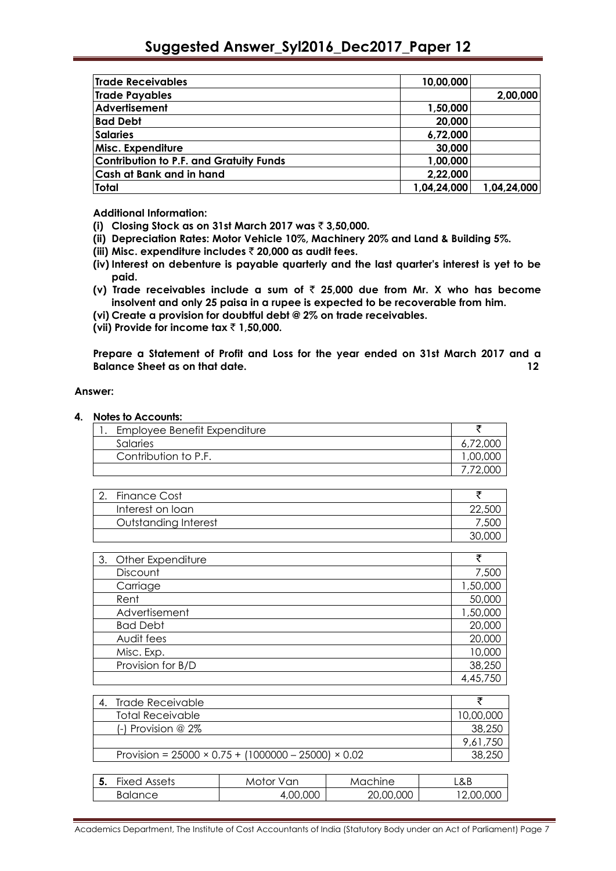# **Suggested Answer\_Syl2016\_Dec2017\_Paper 12**

| Trade Receivables                              | 10,00,000   |             |
|------------------------------------------------|-------------|-------------|
| Trade Payables                                 |             | 2,00,000    |
| Advertisement                                  | 1,50,000    |             |
| <b>Bad Debt</b>                                | 20,000      |             |
| <b>Salaries</b>                                | 6,72,000    |             |
| Misc. Expenditure                              | 30,000      |             |
| <b>Contribution to P.F. and Gratuity Funds</b> | 1,00,000    |             |
| <b>Cash at Bank and in hand</b>                | 2,22,000    |             |
| <b>Total</b>                                   | 1,04,24,000 | 1,04,24,000 |

**Additional Information:**

- **(i) Closing Stock as on 31st March 2017 was** ` **3,50,000.**
- **(ii) Depreciation Rates: Motor Vehicle 10%, Machinery 20% and Land & Building 5%.**
- **(iii) Misc. expenditure includes** ` **20,000 as audit fees.**
- **(iv) Interest on debenture is payable quarterly and the last quarter's interest is yet to be paid.**
- **(v) Trade receivables include a sum of** ` **25,000 due from Mr. X who has become insolvent and only 25 paisa in a rupee is expected to be recoverable from him.**
- **(vi) Create a provision for doubtful debt @ 2% on trade receivables.**
- **(vii) Provide for income tax** ` **1,50,000.**

**Prepare a Statement of Profit and Loss for the year ended on 31st March 2017 and a Balance Sheet as on that date. 12**

#### **Answer:**

**4. Notes to Accounts:**

| Employee Benefit Expenditure |          |
|------------------------------|----------|
| Salaries                     | 6,72,000 |
| Contribution to P.F.         | ,00,000  |
|                              |          |

| Finance Cost         |        |
|----------------------|--------|
| Interest on loan     |        |
| Outstanding Interest | 7,50C  |
|                      | אחה הד |

| 3. Other Expenditure | ₹        |
|----------------------|----------|
| Discount             | 7,500    |
| Carriage             | 1,50,000 |
| Rent                 | 50,000   |
| Advertisement        | 1,50,000 |
| <b>Bad Debt</b>      | 20,000   |
| Audit fees           | 20,000   |
| Misc. Exp.           | 10,000   |
| Provision for B/D    | 38,250   |
|                      | 4,45,750 |

| Trade Receivable                                                |           |
|-----------------------------------------------------------------|-----------|
| <b>Total Receivable</b>                                         | 10,00,000 |
| $(-)$ Provision @ 2%                                            | 38,250    |
|                                                                 | 9,61,750  |
| Provision = $25000 \times 0.75 + (1000000 - 25000) \times 0.02$ |           |
|                                                                 |           |

| J. | $- \cdot$<br>Fixed Assets | Motor Van    | Machine   | _&B      |
|----|---------------------------|--------------|-----------|----------|
|    | <b>Balance</b>            | ,00C<br>4,00 | 20,00,000 | 2,00,000 |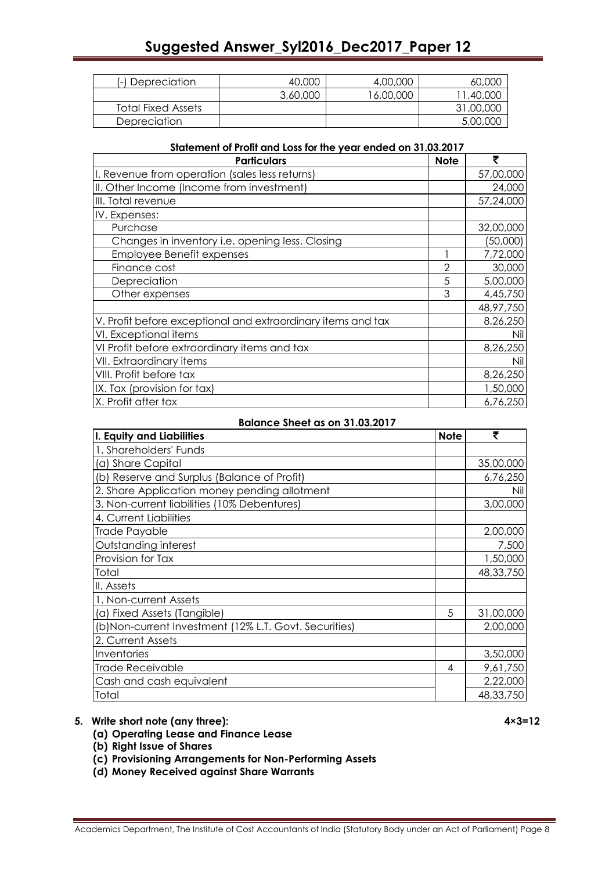# **Suggested Answer\_Syl2016\_Dec2017\_Paper 12**

| (-) Depreciation          | 40,000   | 4,00,000  | 60,000    |
|---------------------------|----------|-----------|-----------|
|                           | 3,60,000 | 16,00,000 | ,40,000   |
| <b>Total Fixed Assets</b> |          |           | 31,00,000 |
| Depreciation              |          |           | 5,00,000  |

| Statement of Profit and Loss for the year ended on 31.03.2017 |                |           |  |  |
|---------------------------------------------------------------|----------------|-----------|--|--|
| <b>Particulars</b>                                            | <b>Note</b>    | ₹         |  |  |
| I. Revenue from operation (sales less returns)                |                | 57,00,000 |  |  |
| II. Other Income (Income from investment)                     |                | 24,000    |  |  |
| III. Total revenue                                            |                | 57,24,000 |  |  |
| IV. Expenses:                                                 |                |           |  |  |
| Purchase                                                      |                | 32,00,000 |  |  |
| Changes in inventory i.e. opening less. Closing               |                | (50,000)  |  |  |
| Employee Benefit expenses                                     |                | 7,72,000  |  |  |
| Finance cost                                                  | $\overline{2}$ | 30,000    |  |  |
| Depreciation                                                  | 5              | 5,00,000  |  |  |
| Other expenses                                                |                | 4,45,750  |  |  |
|                                                               |                | 48,97,750 |  |  |
| V. Profit before exceptional and extraordinary items and tax  |                | 8,26,250  |  |  |
| VI. Exceptional items                                         |                | Nil       |  |  |
| VI Profit before extraordinary items and tax                  |                | 8,26,250  |  |  |
| VII. Extraordinary items                                      |                | Nil       |  |  |
| VIII. Profit before tax                                       |                | 8,26,250  |  |  |
| IX. Tax (provision for tax)                                   |                | 1,50,000  |  |  |
| X. Profit after tax                                           |                | 6,76,250  |  |  |

#### **Balance Sheet as on 31.03.2017**

| I. Equity and Liabilities                             |   | ₹         |
|-------------------------------------------------------|---|-----------|
| 1. Shareholders' Funds                                |   |           |
| (a) Share Capital                                     |   | 35,00,000 |
| (b) Reserve and Surplus (Balance of Profit)           |   | 6,76,250  |
| 2. Share Application money pending allotment          |   | Nil       |
| 3. Non-current liabilities (10% Debentures)           |   | 3,00,000  |
| 4. Current Liabilities                                |   |           |
| Trade Payable                                         |   | 2,00,000  |
| Outstanding interest                                  |   | 7,500     |
| Provision for Tax                                     |   | 1,50,000  |
| Total                                                 |   | 48,33,750 |
| II. Assets                                            |   |           |
| 1. Non-current Assets                                 |   |           |
| (a) Fixed Assets (Tangible)                           | 5 | 31,00,000 |
| (b)Non-current Investment (12% L.T. Govt. Securities) |   | 2,00,000  |
| 2. Current Assets                                     |   |           |
| Inventories                                           |   | 3,50,000  |
| <b>Trade Receivable</b>                               | 4 | 9,61,750  |
| Cash and cash equivalent                              |   | 2,22,000  |
| Total                                                 |   | 48,33,750 |

# **5. Write short note (any three): 4×3=12**

- **(a) Operating Lease and Finance Lease**
- **(b) Right Issue of Shares**
- **(c) Provisioning Arrangements for Non-Performing Assets**
- **(d) Money Received against Share Warrants**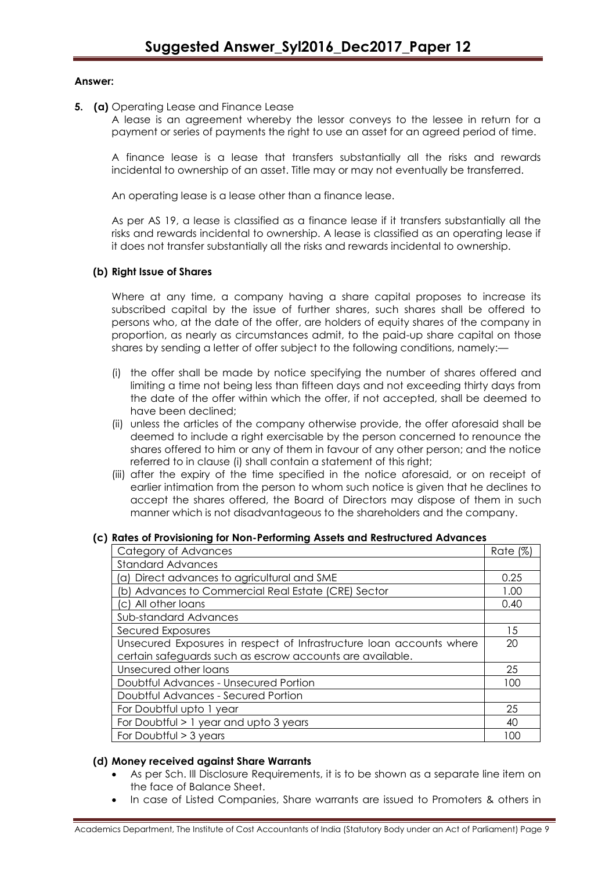## **Answer:**

**5. (a)** Operating Lease and Finance Lease

A lease is an agreement whereby the lessor conveys to the lessee in return for a payment or series of payments the right to use an asset for an agreed period of time.

A finance lease is a lease that transfers substantially all the risks and rewards incidental to ownership of an asset. Title may or may not eventually be transferred.

An operating lease is a lease other than a finance lease.

As per AS 19, a lease is classified as a finance lease if it transfers substantially all the risks and rewards incidental to ownership. A lease is classified as an operating lease if it does not transfer substantially all the risks and rewards incidental to ownership.

## **(b) Right Issue of Shares**

Where at any time, a company having a share capital proposes to increase its subscribed capital by the issue of further shares, such shares shall be offered to persons who, at the date of the offer, are holders of equity shares of the company in proportion, as nearly as circumstances admit, to the paid-up share capital on those shares by sending a letter of offer subject to the following conditions, namely:—

- (i) the offer shall be made by notice specifying the number of shares offered and limiting a time not being less than fifteen days and not exceeding thirty days from the date of the offer within which the offer, if not accepted, shall be deemed to have been declined;
- (ii) unless the articles of the company otherwise provide, the offer aforesaid shall be deemed to include a right exercisable by the person concerned to renounce the shares offered to him or any of them in favour of any other person; and the notice referred to in clause (i) shall contain a statement of this right;
- (iii) after the expiry of the time specified in the notice aforesaid, or on receipt of earlier intimation from the person to whom such notice is given that he declines to accept the shares offered, the Board of Directors may dispose of them in such manner which is not disadvantageous to the shareholders and the company.

## **(c) Rates of Provisioning for Non-Performing Assets and Restructured Advances**

| Category of Advances                                                 |      |  |
|----------------------------------------------------------------------|------|--|
| <b>Standard Advances</b>                                             |      |  |
| (a) Direct advances to agricultural and SME                          |      |  |
| (b) Advances to Commercial Real Estate (CRE) Sector                  |      |  |
| (c) All other loans                                                  | 0.40 |  |
| Sub-standard Advances                                                |      |  |
| Secured Exposures                                                    | 15   |  |
| Unsecured Exposures in respect of Infrastructure loan accounts where |      |  |
| certain safeguards such as escrow accounts are available.            |      |  |
| Unsecured other loans                                                | 25   |  |
| Doubtful Advances - Unsecured Portion                                | 100  |  |
| Doubtful Advances - Secured Portion                                  |      |  |
| For Doubtful upto 1 year                                             | 25   |  |
| For Doubtful $> 1$ year and upto 3 years                             | 40   |  |
| For Doubtful $>$ 3 years                                             | 100  |  |

## **(d) Money received against Share Warrants**

- As per Sch. Ill Disclosure Requirements, it is to be shown as a separate line item on the face of Balance Sheet.
- In case of Listed Companies, Share warrants are issued to Promoters & others in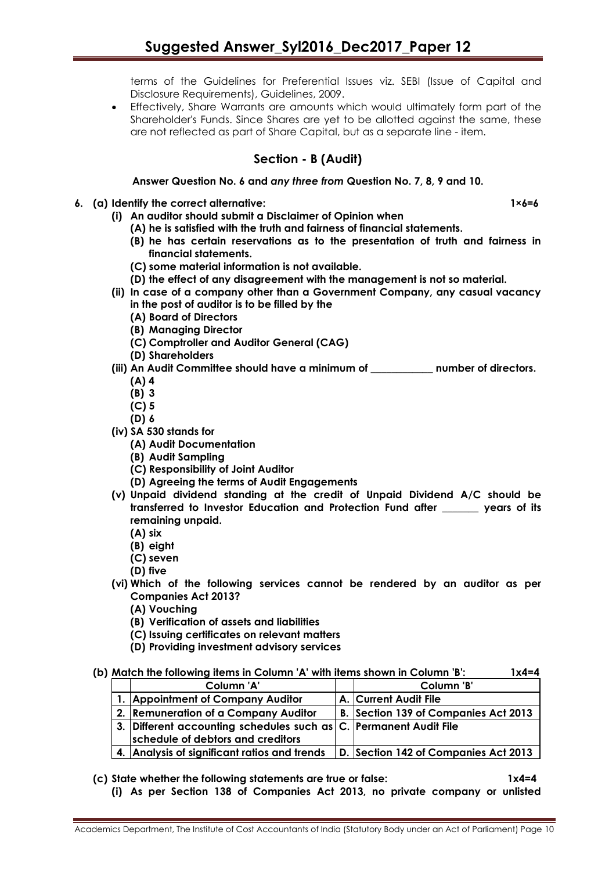terms of the Guidelines for Preferential Issues viz. SEBI (Issue of Capital and Disclosure Requirements), Guidelines, 2009.

 Effectively, Share Warrants are amounts which would ultimately form part of the Shareholder's Funds. Since Shares are yet to be allotted against the same, these are not reflected as part of Share Capital, but as a separate line - item.

# **Section - B (Audit)**

**Answer Question No. 6 and** *any three from* **Question No. 7, 8, 9 and 10.**

**6. (a) Identify the correct alternative: 1×6=6**

- **(i) An auditor should submit a Disclaimer of Opinion when**
	- **(A) he is satisfied with the truth and fairness of financial statements.**
	- **(B) he has certain reservations as to the presentation of truth and fairness in financial statements.**
	- **(C) some material information is not available.**
	- **(D) the effect of any disagreement with the management is not so material.**
- **(ii) In case of a company other than a Government Company, any casual vacancy in the post of auditor is to be filled by the**
	- **(A) Board of Directors**
	- **(B) Managing Director**
	- **(C) Comptroller and Auditor General (CAG)**
	- **(D) Shareholders**
- **(iii) An Audit Committee should have a minimum of \_\_\_\_\_\_\_\_\_\_\_\_ number of directors.** 
	- **(A) 4**
	- **(B) 3**
	- **(C) 5**
	- **(D) 6**
- **(iv) SA 530 stands for**
	- **(A) Audit Documentation**
	- **(B) Audit Sampling**
	- **(C) Responsibility of Joint Auditor**
	- **(D) Agreeing the terms of Audit Engagements**
- **(v) Unpaid dividend standing at the credit of Unpaid Dividend A/C should be transferred to Investor Education and Protection Fund after \_\_\_\_\_\_\_ years of its remaining unpaid.**
	- **(A) six**
	- **(B) eight**
	- **(C) seven**
	- **(D) five**
- **(vi) Which of the following services cannot be rendered by an auditor as per Companies Act 2013?**
	- **(A) Vouching**
	- **(B) Verification of assets and liabilities**
	- **(C) Issuing certificates on relevant matters**
	- **(D) Providing investment advisory services**
- **(b) Match the following items in Column 'A' with items shown in Column 'B': 1x4=4**

| Column 'A'                                                        |        | Column 'B'                           |
|-------------------------------------------------------------------|--------|--------------------------------------|
| 1. Appointment of Company Auditor                                 |        | A. Current Audit File                |
| 2. Remuneration of a Company Auditor                              |        | B. Section 139 of Companies Act 2013 |
| 3. Different accounting schedules such as C. Permanent Audit File |        |                                      |
| schedule of debtors and creditors                                 |        |                                      |
| بماج ورجابها المستمرين والمسالم ومناكلة ويتمالى والمناسب          | $\sim$ |                                      |

- **4. Analysis of significant ratios and trends D. Section 142 of Companies Act 2013**
- **(c) State whether the following statements are true or false: 1x4=4 (i) As per Section 138 of Companies Act 2013, no private company or unlisted**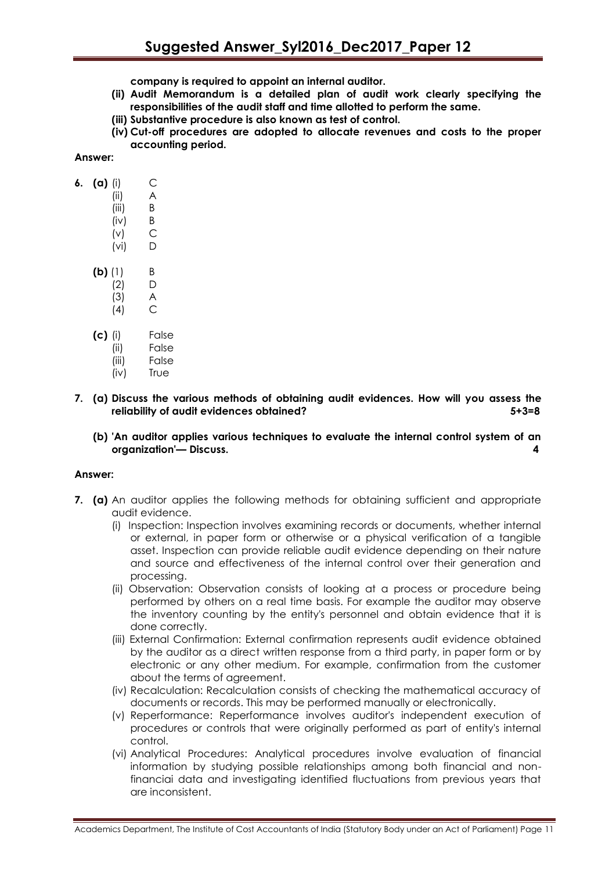**company is required to appoint an internal auditor.**

- **(ii) Audit Memorandum is a detailed plan of audit work clearly specifying the responsibilities of the audit staff and time allotted to perform the same.**
- **(iii) Substantive procedure is also known as test of control.**
- **(iv) Cut-off procedures are adopted to allocate revenues and costs to the proper accounting period.**

#### **Answer:**

- **6. (a)** (i) C
	- (ii) A
	- (iii) B
	- $(iv)$  B
	- $(v)$  C (vi) D
	- **(b)** (1) B
		- (2) D
			- (3) A
		- (4) C
	- **(c)** (i) False
		- (ii) False
			- (iii) False
			- (iv) True
- **7. (a) Discuss the various methods of obtaining audit evidences. How will you assess the reliability of audit evidences obtained? 5+3=8**
	- **(b) 'An auditor applies various techniques to evaluate the internal control system of an organization'— Discuss. 4**

## **Answer:**

- **7. (a)** An auditor applies the following methods for obtaining sufficient and appropriate audit evidence.
	- (i) Inspection: Inspection involves examining records or documents, whether internal or external, in paper form or otherwise or a physical verification of a tangible asset. Inspection can provide reliable audit evidence depending on their nature and source and effectiveness of the internal control over their generation and processing.
	- (ii) Observation: Observation consists of looking at a process or procedure being performed by others on a real time basis. For example the auditor may observe the inventory counting by the entity's personnel and obtain evidence that it is done correctly.
	- (iii) External Confirmation: External confirmation represents audit evidence obtained by the auditor as a direct written response from a third party, in paper form or by electronic or any other medium. For example, confirmation from the customer about the terms of agreement.
	- (iv) Recalculation: Recalculation consists of checking the mathematical accuracy of documents or records. This may be performed manually or electronically.
	- (v) Reperformance: Reperformance involves auditor's independent execution of procedures or controls that were originally performed as part of entity's internal control.
	- (vi) Analytical Procedures: Analytical procedures involve evaluation of financial information by studying possible relationships among both financial and nonfinanciai data and investigating identified fluctuations from previous years that are inconsistent.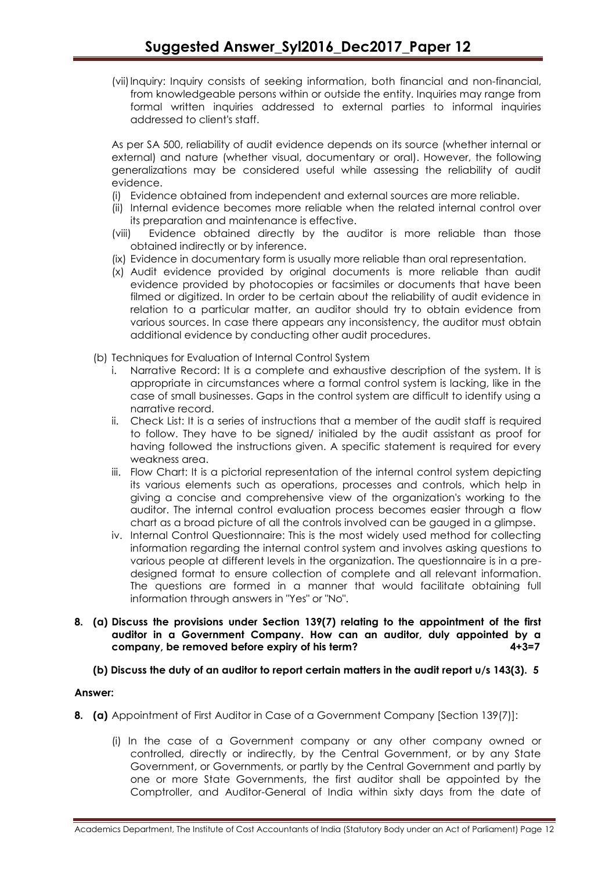(vii)lnquiry: Inquiry consists of seeking information, both financial and non-financial, from knowledgeable persons within or outside the entity. Inquiries may range from formal written inquiries addressed to external parties to informal inquiries addressed to client's staff.

As per SA 500, reliability of audit evidence depends on its source (whether internal or external) and nature (whether visual, documentary or oral). However, the following generalizations may be considered useful while assessing the reliability of audit evidence.

- (i) Evidence obtained from independent and external sources are more reliable.
- (ii) Internal evidence becomes more reliable when the related internal control over its preparation and maintenance is effective.
- (viii) Evidence obtained directly by the auditor is more reliable than those obtained indirectly or by inference.
- (ix) Evidence in documentary form is usually more reliable than oral representation.
- (x) Audit evidence provided by original documents is more reliable than audit evidence provided by photocopies or facsimiles or documents that have been filmed or digitized. In order to be certain about the reliability of audit evidence in relation to a particular matter, an auditor should try to obtain evidence from various sources. In case there appears any inconsistency, the auditor must obtain additional evidence by conducting other audit procedures.
- (b) Techniques for Evaluation of Internal Control System
	- i. Narrative Record: It is a complete and exhaustive description of the system. It is appropriate in circumstances where a formal control system is lacking, like in the case of small businesses. Gaps in the control system are difficult to identify using a narrative record.
	- ii. Check List: It is a series of instructions that a member of the audit staff is required to follow. They have to be signed/ initialed by the audit assistant as proof for having followed the instructions given. A specific statement is required for every weakness area.
	- iii. Flow Chart: It is a pictorial representation of the internal control system depicting its various elements such as operations, processes and controls, which help in giving a concise and comprehensive view of the organization's working to the auditor. The internal control evaluation process becomes easier through a flow chart as a broad picture of all the controls involved can be gauged in a glimpse.
	- iv. Internal Control Questionnaire: This is the most widely used method for collecting information regarding the internal control system and involves asking questions to various people at different levels in the organization. The questionnaire is in a predesigned format to ensure collection of complete and all relevant information. The questions are formed in a manner that would facilitate obtaining full information through answers in "Yes" or "No".
- **8. (a) Discuss the provisions under Section 139(7) relating to the appointment of the first auditor in a Government Company. How can an auditor, duly appointed by a company, be removed before expiry of his term? 4+3=7**

# **(b) Discuss the duty of an auditor to report certain matters in the audit report u/s 143(3). 5**

## **Answer:**

- **8. (a)** Appointment of First Auditor in Case of a Government Company [Section 139(7)]:
	- (i) In the case of a Government company or any other company owned or controlled, directly or indirectly, by the Central Government, or by any State Government, or Governments, or partly by the Central Government and partly by one or more State Governments, the first auditor shall be appointed by the Comptroller, and Auditor-General of India within sixty days from the date of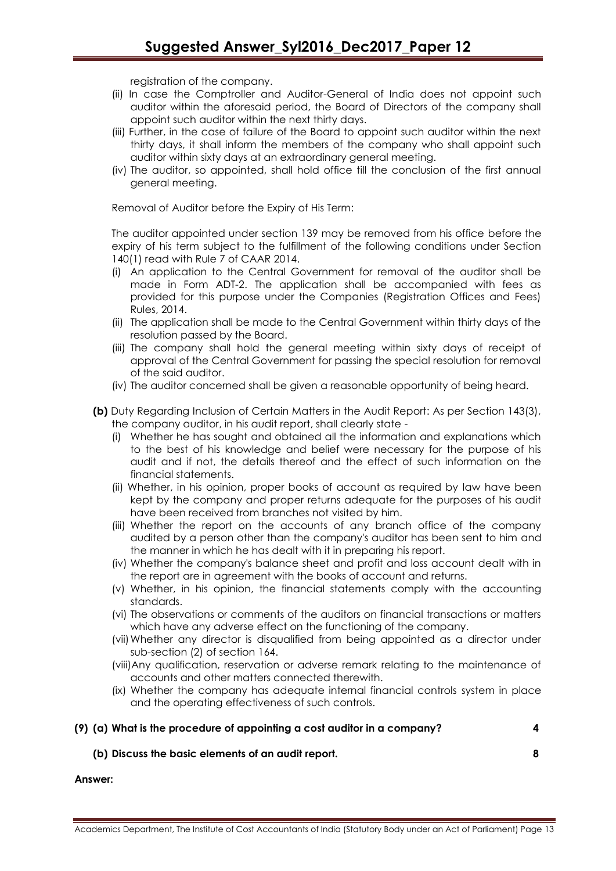registration of the company.

- (ii) In case the Comptroller and Auditor-General of India does not appoint such auditor within the aforesaid period, the Board of Directors of the company shall appoint such auditor within the next thirty days.
- (iii) Further, in the case of failure of the Board to appoint such auditor within the next thirty days, it shall inform the members of the company who shall appoint such auditor within sixty days at an extraordinary general meeting.
- (iv) The auditor, so appointed, shall hold office till the conclusion of the first annual general meeting.

Removal of Auditor before the Expiry of His Term:

The auditor appointed under section 139 may be removed from his office before the expiry of his term subject to the fulfillment of the following conditions under Section 140(1) read with Rule 7 of CAAR 2014.

- (i) An application to the Central Government for removal of the auditor shall be made in Form ADT-2. The application shall be accompanied with fees as provided for this purpose under the Companies (Registration Offices and Fees) Rules, 2014.
- (ii) The application shall be made to the Central Government within thirty days of the resolution passed by the Board.
- (iii) The company shall hold the general meeting within sixty days of receipt of approval of the Central Government for passing the special resolution for removal of the said auditor.
- (iv) The auditor concerned shall be given a reasonable opportunity of being heard.
- **(b)** Duty Regarding Inclusion of Certain Matters in the Audit Report: As per Section 143(3), the company auditor, in his audit report, shall clearly state -
	- (i) Whether he has sought and obtained all the information and explanations which to the best of his knowledge and belief were necessary for the purpose of his audit and if not, the details thereof and the effect of such information on the financial statements.
	- (ii) Whether, in his opinion, proper books of account as required by law have been kept by the company and proper returns adequate for the purposes of his audit have been received from branches not visited by him.
	- (iii) Whether the report on the accounts of any branch office of the company audited by a person other than the company's auditor has been sent to him and the manner in which he has dealt with it in preparing his report.
	- (iv) Whether the company's balance sheet and profit and loss account dealt with in the report are in agreement with the books of account and returns.
	- (v) Whether, in his opinion, the financial statements comply with the accounting standards.
	- (vi) The observations or comments of the auditors on financial transactions or matters which have any adverse effect on the functioning of the company.
	- (vii)Whether any director is disqualified from being appointed as a director under sub-section (2) of section 164.
	- (viii)Any qualification, reservation or adverse remark relating to the maintenance of accounts and other matters connected therewith.
	- (ix) Whether the company has adequate internal financial controls system in place and the operating effectiveness of such controls.

| (9) (a) What is the procedure of appointing a cost auditor in a company? |  |
|--------------------------------------------------------------------------|--|
|                                                                          |  |

## **(b) Discuss the basic elements of an audit report. 8**

**Answer:**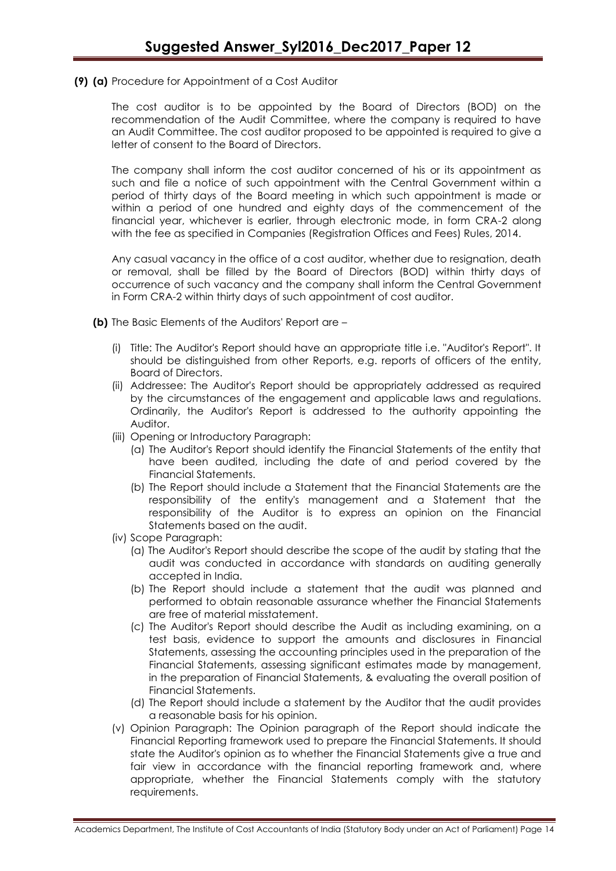**(9) (a)** Procedure for Appointment of a Cost Auditor

The cost auditor is to be appointed by the Board of Directors (BOD) on the recommendation of the Audit Committee, where the company is required to have an Audit Committee. The cost auditor proposed to be appointed is required to give a letter of consent to the Board of Directors.

The company shall inform the cost auditor concerned of his or its appointment as such and file a notice of such appointment with the Central Government within a period of thirty days of the Board meeting in which such appointment is made or within a period of one hundred and eighty days of the commencement of the financial year, whichever is earlier, through electronic mode, in form CRA-2 along with the fee as specified in Companies (Registration Offices and Fees) Rules, 2014.

Any casual vacancy in the office of a cost auditor, whether due to resignation, death or removal, shall be filled by the Board of Directors (BOD) within thirty days of occurrence of such vacancy and the company shall inform the Central Government in Form CRA-2 within thirty days of such appointment of cost auditor.

- **(b)** The Basic Elements of the Auditors' Report are
	- (i) Title: The Auditor's Report should have an appropriate title i.e. "Auditor's Report". It should be distinguished from other Reports, e.g. reports of officers of the entity, Board of Directors.
	- (ii) Addressee: The Auditor's Report should be appropriately addressed as required by the circumstances of the engagement and applicable laws and regulations. Ordinarily, the Auditor's Report is addressed to the authority appointing the Auditor.
	- (iii) Opening or Introductory Paragraph:
		- (a) The Auditor's Report should identify the Financial Statements of the entity that have been audited, including the date of and period covered by the Financial Statements.
		- (b) The Report should include a Statement that the Financial Statements are the responsibility of the entity's management and a Statement that the responsibility of the Auditor is to express an opinion on the Financial Statements based on the audit.
	- (iv) Scope Paragraph:
		- (a) The Auditor's Report should describe the scope of the audit by stating that the audit was conducted in accordance with standards on auditing generally accepted in India.
		- (b) The Report should include a statement that the audit was planned and performed to obtain reasonable assurance whether the Financial Statements are free of material misstatement.
		- (c) The Auditor's Report should describe the Audit as including examining, on a test basis, evidence to support the amounts and disclosures in Financial Statements, assessing the accounting principles used in the preparation of the Financial Statements, assessing significant estimates made by management, in the preparation of Financial Statements, & evaluating the overall position of Financial Statements.
		- (d) The Report should include a statement by the Auditor that the audit provides a reasonable basis for his opinion.
	- (v) Opinion Paragraph: The Opinion paragraph of the Report should indicate the Financial Reporting framework used to prepare the Financial Statements. It should state the Auditor's opinion as to whether the Financial Statements give a true and fair view in accordance with the financial reporting framework and, where appropriate, whether the Financial Statements comply with the statutory requirements.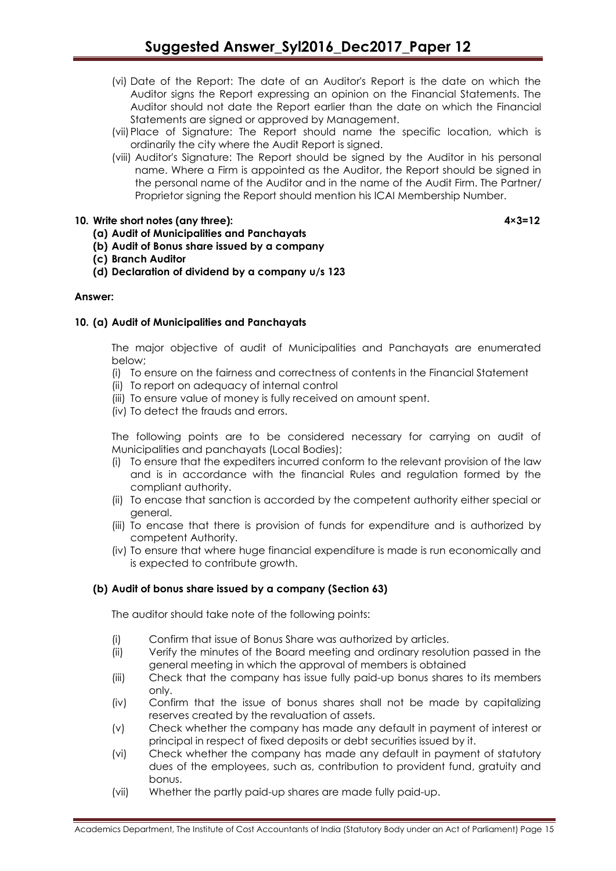- (vi) Date of the Report: The date of an Auditor's Report is the date on which the Auditor signs the Report expressing an opinion on the Financial Statements. The Auditor should not date the Report earlier than the date on which the Financial Statements are signed or approved by Management.
- (vii)Place of Signature: The Report should name the specific location, which is ordinarily the city where the Audit Report is signed.
- (viii) Auditor's Signature: The Report should be signed by the Auditor in his personal name. Where a Firm is appointed as the Auditor, the Report should be signed in the personal name of the Auditor and in the name of the Audit Firm. The Partner/ Proprietor signing the Report should mention his ICAI Membership Number.

## **10. Write short notes (any three): 4×3=12**

- **(a) Audit of Municipalities and Panchayats**
- **(b) Audit of Bonus share issued by a company**
- **(c) Branch Auditor**
- **(d) Declaration of dividend by a company u/s 123**

## **Answer:**

## **10. (a) Audit of Municipalities and Panchayats**

The major objective of audit of Municipalities and Panchayats are enumerated below;

- (i) To ensure on the fairness and correctness of contents in the Financial Statement
- (ii) To report on adequacy of internal control
- (iii) To ensure value of money is fully received on amount spent.
- (iv) To detect the frauds and errors.

The following points are to be considered necessary for carrying on audit of Municipalities and panchayats (Local Bodies);

- (i) To ensure that the expediters incurred conform to the relevant provision of the law and is in accordance with the financial Rules and regulation formed by the compliant authority.
- (ii) To encase that sanction is accorded by the competent authority either special or general.
- (iii) To encase that there is provision of funds for expenditure and is authorized by competent Authority.
- (iv) To ensure that where huge financial expenditure is made is run economically and is expected to contribute growth.

# **(b) Audit of bonus share issued by a company (Section 63)**

The auditor should take note of the following points:

- (i) Confirm that issue of Bonus Share was authorized by articles.
- (ii) Verify the minutes of the Board meeting and ordinary resolution passed in the general meeting in which the approval of members is obtained
- (iii) Check that the company has issue fully paid-up bonus shares to its members only.
- (iv) Confirm that the issue of bonus shares shall not be made by capitalizing reserves created by the revaluation of assets.
- (v) Check whether the company has made any default in payment of interest or principal in respect of fixed deposits or debt securities issued by it.
- (vi) Check whether the company has made any default in payment of statutory dues of the employees, such as, contribution to provident fund, gratuity and bonus.
- (vii) Whether the partly paid-up shares are made fully paid-up.